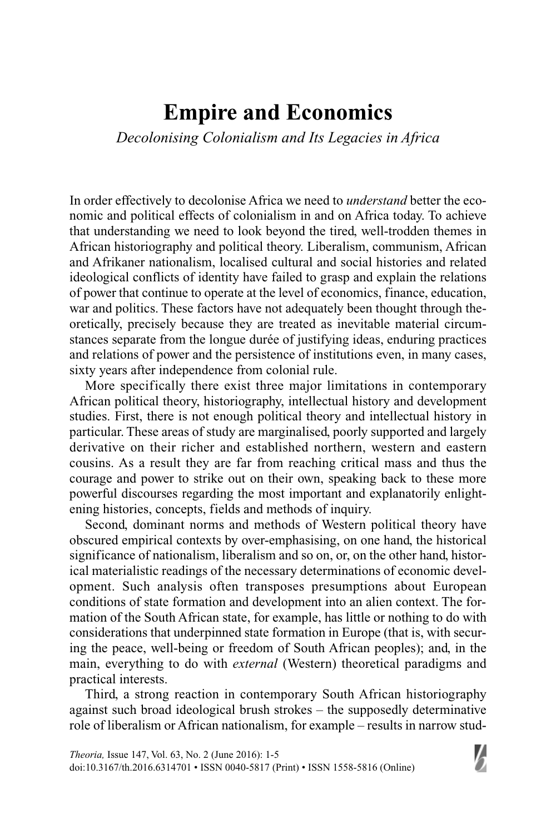## **Empire and Economics**

*Decolonising Colonialism and Its Legacies in Africa*

In order effectively to decolonise Africa we need to *understand* better the economic and political effects of colonialism in and on Africa today. To achieve that understanding we need to look beyond the tired, well-trodden themes in African historiography and political theory. Liberalism, communism, African and Afrikaner nationalism, localised cultural and social histories and related ideological conflicts of identity have failed to grasp and explain the relations of power that continue to operate at the level of economics, finance, education, war and politics. These factors have not adequately been thought through theoretically, precisely because they are treated as inevitable material circumstances separate from the longue durée of justifying ideas, enduring practices and relations of power and the persistence of institutions even, in many cases, sixty years after independence from colonial rule.

More specifically there exist three major limitations in contemporary African political theory, historiography, intellectual history and development studies. First, there is not enough political theory and intellectual history in particular. These areas of study are marginalised, poorly supported and largely derivative on their richer and established northern, western and eastern cousins. As a result they are far from reaching critical mass and thus the courage and power to strike out on their own, speaking back to these more powerful discourses regarding the most important and explanatorily enlightening histories, concepts, fields and methods of inquiry.

Second, dominant norms and methods of Western political theory have obscured empirical contexts by over-emphasising, on one hand, the historical significance of nationalism, liberalism and so on, or, on the other hand, historical materialistic readings of the necessary determinations of economic development. Such analysis often transposes presumptions about European conditions of state formation and development into an alien context. The formation of the South African state, for example, has little or nothing to do with considerations that underpinned state formation in Europe (that is, with securing the peace, well-being or freedom of South African peoples); and, in the main, everything to do with *external* (Western) theoretical paradigms and practical interests.

Third, a strong reaction in contemporary South African historiography against such broad ideological brush strokes – the supposedly determinative role of liberalism or African nationalism, for example – results in narrow stud-

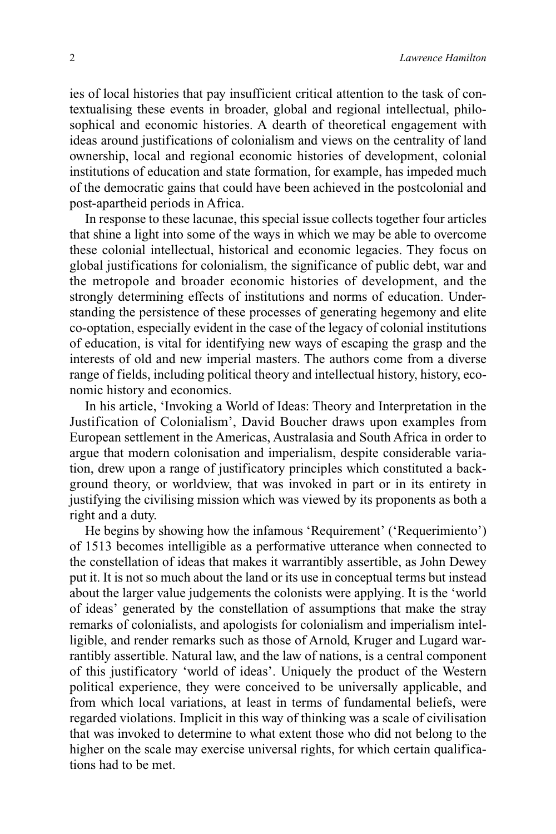ies of local histories that pay insufficient critical attention to the task of contextualising these events in broader, global and regional intellectual, philosophical and economic histories. A dearth of theoretical engagement with ideas around justifications of colonialism and views on the centrality of land ownership, local and regional economic histories of development, colonial institutions of education and state formation, for example, has impeded much of the democratic gains that could have been achieved in the postcolonial and post-apartheid periods in Africa.

In response to these lacunae, this special issue collects together four articles that shine a light into some of the ways in which we may be able to overcome these colonial intellectual, historical and economic legacies. They focus on global justifications for colonialism, the significance of public debt, war and the metropole and broader economic histories of development, and the strongly determining effects of institutions and norms of education. Understanding the persistence of these processes of generating hegemony and elite co-optation, especially evident in the case of the legacy of colonial institutions of education, is vital for identifying new ways of escaping the grasp and the interests of old and new imperial masters. The authors come from a diverse range of fields, including political theory and intellectual history, history, economic history and economics.

In his article, 'Invoking a World of Ideas: Theory and Interpretation in the Justification of Colonialism', David Boucher draws upon examples from European settlement in the Americas, Australasia and South Africa in order to argue that modern colonisation and imperialism, despite considerable variation, drew upon a range of justificatory principles which constituted a background theory, or worldview, that was invoked in part or in its entirety in justifying the civilising mission which was viewed by its proponents as both a right and a duty.

He begins by showing how the infamous 'Requirement' ('Requerimiento') of 1513 becomes intelligible as a performative utterance when connected to the constellation of ideas that makes it warrantibly assertible, as John Dewey put it. It is not so much about the land or its use in conceptual terms but instead about the larger value judgements the colonists were applying. It is the 'world of ideas' generated by the constellation of assumptions that make the stray remarks of colonialists, and apologists for colonialism and imperialism intelligible, and render remarks such as those of Arnold, Kruger and Lugard warrantibly assertible. Natural law, and the law of nations, is a central component of this justificatory 'world of ideas'. Uniquely the product of the Western political experience, they were conceived to be universally applicable, and from which local variations, at least in terms of fundamental beliefs, were regarded violations. Implicit in this way of thinking was a scale of civilisation that was invoked to determine to what extent those who did not belong to the higher on the scale may exercise universal rights, for which certain qualifications had to be met.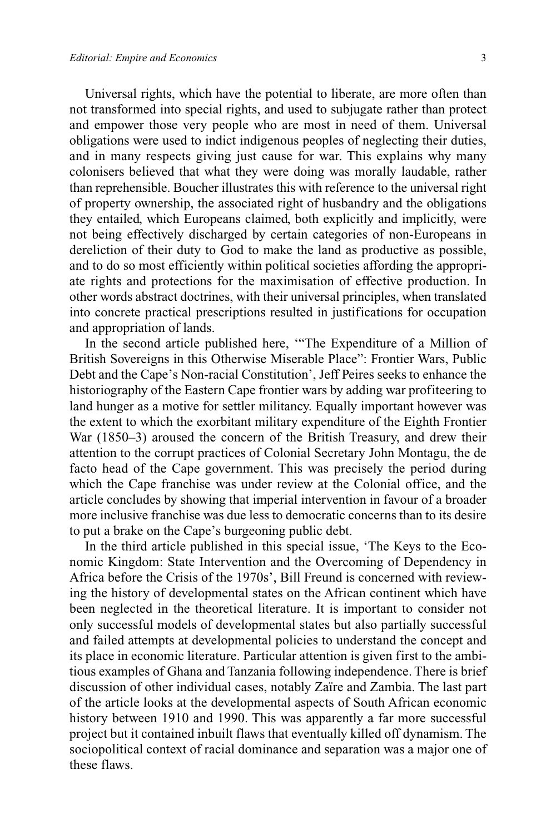Universal rights, which have the potential to liberate, are more often than not transformed into special rights, and used to subjugate rather than protect and empower those very people who are most in need of them. Universal obligations were used to indict indigenous peoples of neglecting their duties, and in many respects giving just cause for war. This explains why many colonisers believed that what they were doing was morally laudable, rather than reprehensible. Boucher illustrates this with reference to the universal right of property ownership, the associated right of husbandry and the obligations they entailed, which Europeans claimed, both explicitly and implicitly, were not being effectively discharged by certain categories of non-Europeans in dereliction of their duty to God to make the land as productive as possible, and to do so most efficiently within political societies affording the appropriate rights and protections for the maximisation of effective production. In other words abstract doctrines, with their universal principles, when translated into concrete practical prescriptions resulted in justifications for occupation and appropriation of lands.

In the second article published here, '"The Expenditure of a Million of British Sovereigns in this Otherwise Miserable Place": Frontier Wars, Public Debt and the Cape's Non-racial Constitution', Jeff Peires seeks to enhance the historiography of the Eastern Cape frontier wars by adding war profiteering to land hunger as a motive for settler militancy. Equally important however was the extent to which the exorbitant military expenditure of the Eighth Frontier War (1850–3) aroused the concern of the British Treasury, and drew their attention to the corrupt practices of Colonial Secretary John Montagu, the de facto head of the Cape government. This was precisely the period during which the Cape franchise was under review at the Colonial office, and the article concludes by showing that imperial intervention in favour of a broader more inclusive franchise was due less to democratic concerns than to its desire to put a brake on the Cape's burgeoning public debt.

In the third article published in this special issue, 'The Keys to the Economic Kingdom: State Intervention and the Overcoming of Dependency in Africa before the Crisis of the 1970s', Bill Freund is concerned with reviewing the history of developmental states on the African continent which have been neglected in the theoretical literature. It is important to consider not only successful models of developmental states but also partially successful and failed attempts at developmental policies to understand the concept and its place in economic literature. Particular attention is given first to the ambitious examples of Ghana and Tanzania following independence. There is brief discussion of other individual cases, notably Zaïre and Zambia. The last part of the article looks at the developmental aspects of South African economic history between 1910 and 1990. This was apparently a far more successful project but it contained inbuilt flaws that eventually killed off dynamism. The sociopolitical context of racial dominance and separation was a major one of these flaws.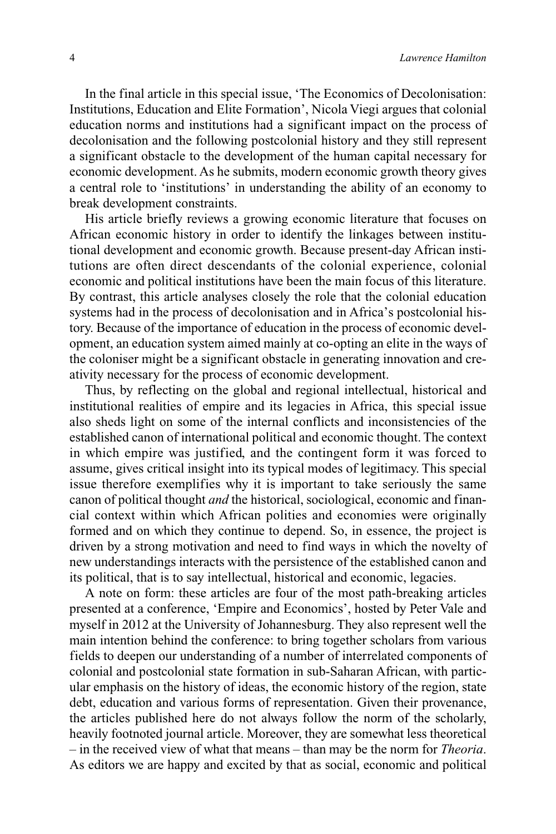In the final article in this special issue, 'The Economics of Decolonisation: Institutions, Education and Elite Formation', Nicola Viegi argues that colonial education norms and institutions had a significant impact on the process of decolonisation and the following postcolonial history and they still represent a significant obstacle to the development of the human capital necessary for economic development. As he submits, modern economic growth theory gives a central role to 'institutions' in understanding the ability of an economy to break development constraints.

His article briefly reviews a growing economic literature that focuses on African economic history in order to identify the linkages between institutional development and economic growth. Because present-day African institutions are often direct descendants of the colonial experience, colonial economic and political institutions have been the main focus of this literature. By contrast, this article analyses closely the role that the colonial education systems had in the process of decolonisation and in Africa's postcolonial history. Because of the importance of education in the process of economic development, an education system aimed mainly at co-opting an elite in the ways of the coloniser might be a significant obstacle in generating innovation and creativity necessary for the process of economic development.

Thus, by reflecting on the global and regional intellectual, historical and institutional realities of empire and its legacies in Africa, this special issue also sheds light on some of the internal conflicts and inconsistencies of the established canon of international political and economic thought. The context in which empire was justified, and the contingent form it was forced to assume, gives critical insight into its typical modes of legitimacy. This special issue therefore exemplifies why it is important to take seriously the same canon of political thought *and* the historical, sociological, economic and financial context within which African polities and economies were originally formed and on which they continue to depend. So, in essence, the project is driven by a strong motivation and need to find ways in which the novelty of new understandings interacts with the persistence of the established canon and its political, that is to say intellectual, historical and economic, legacies.

A note on form: these articles are four of the most path-breaking articles presented at a conference, 'Empire and Economics', hosted by Peter Vale and myself in 2012 at the University of Johannesburg. They also represent well the main intention behind the conference: to bring together scholars from various fields to deepen our understanding of a number of interrelated components of colonial and postcolonial state formation in sub-Saharan African, with particular emphasis on the history of ideas, the economic history of the region, state debt, education and various forms of representation. Given their provenance, the articles published here do not always follow the norm of the scholarly, heavily footnoted journal article. Moreover, they are somewhat less theoretical – in the received view of what that means – than may be the norm for *Theoria*. As editors we are happy and excited by that as social, economic and political